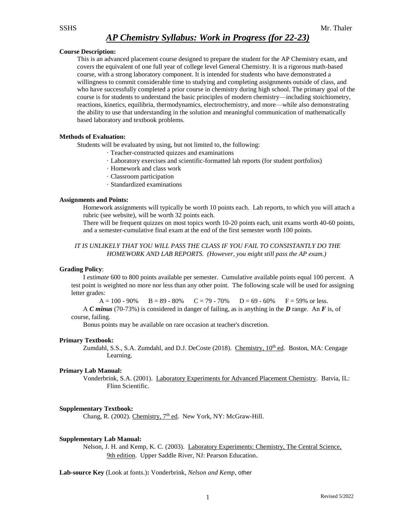### **Course Description:**

This is an advanced placement course designed to prepare the student for the AP Chemistry exam, and covers the equivalent of one full year of college level General Chemistry. It is a rigorous math-based course, with a strong laboratory component. It is intended for students who have demonstrated a willingness to commit considerable time to studying and completing assignments outside of class, and who have successfully completed a prior course in chemistry during high school. The primary goal of the course is for students to understand the basic principles of modern chemistry—including stoichiometry, reactions, kinetics, equilibria, thermodynamics, electrochemistry, and more—while also demonstrating the ability to use that understanding in the solution and meaningful communication of mathematically based laboratory and textbook problems.

### **Methods of Evaluation:**

Students will be evaluated by using, but not limited to, the following:

- · Teacher-constructed quizzes and examinations
- · Laboratory exercises and scientific-formatted lab reports (for student portfolios)
- · Homework and class work
- · Classroom participation
- · Standardized examinations

#### **Assignments and Points:**

Homework assignments will typically be worth 10 points each. Lab reports, to which you will attach a rubric (see website), will be worth 32 points each.

There will be frequent quizzes on most topics worth 10-20 points each, unit exams worth 40-60 points, and a semester-cumulative final exam at the end of the first semester worth 100 points.

## *IT IS UNLIKELY THAT YOU WILL PASS THE CLASS IF YOU FAIL TO CONSISTANTLY DO THE HOMEWORK AND LAB REPORTS. (However, you might still pass the AP exam.)*

#### **Grading Policy**:

I *estimate* 600 to 800 points available per semester. Cumulative available points equal 100 percent. A test point is weighted no more nor less than any other point. The following scale will be used for assigning letter grades:

 $A = 100 - 90\%$  B = 89 - 80% C = 79 - 70% D = 69 - 60% F = 59% or less.

A *C minus* (70-73%) is considered in danger of failing, as is anything in the *D* range. An *F* is, of course, failing.

Bonus points may be available on rare occasion at teacher's discretion.

#### **Primary Textbook:**

Zumdahl, S.S., S.A. Zumdahl, and D.J. DeCoste (2018). Chemistry,  $10<sup>th</sup>$  ed. Boston, MA: Cengage Learning.

#### **Primary Lab Manual:**

Vonderbrink, S.A. (2001). Laboratory Experiments for Advanced Placement Chemistry. Batvia, IL: Flinn Scientific.

#### **Supplementary Textbook:**

Chang, R. (2002). Chemistry,  $7<sup>th</sup>$  ed. New York, NY: McGraw-Hill.

#### **Supplementary Lab Manual:**

Nelson, J. H. and Kemp, K. C. (2003). Laboratory Experiments: Chemistry, The Central Science, 9th edition. Upper Saddle River, NJ: Pearson Education.

**Lab-source Key** (Look at fonts.)**:** Vonderbrink, *Nelson and Kemp*, other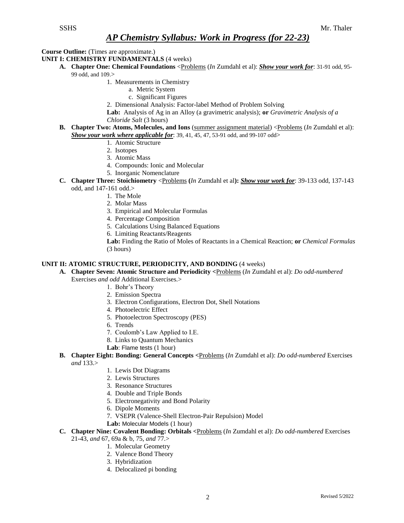**Course Outline:** (Times are approximate.)

**UNIT I: CHEMISTRY FUNDAMENTALS** (4 weeks)

- **A. Chapter One: Chemical Foundations** <Problems (*In* Zumdahl et al): *Show your work for*: 31-91 odd, 95- 99 odd, and 109.>
	- 1. Measurements in Chemistry
		- a. Metric System
		- c. Significant Figures
	- 2. Dimensional Analysis: Factor-label Method of Problem Solving

**Lab:** Analysis of Ag in an Alloy (a gravimetric analysis); **or** *Gravimetric Analysis of a Chloride Salt* (3 hours)

- **B.** Chapter Two: Atoms, Molecules, and Ions (summer assignment material) <Problems (*In* Zumdahl et al): *Show your work where applicable for*: 39, 41, 45, 47, 53-91 odd, and 99-107 odd>
	- 1. Atomic Structure
	- 2. Isotopes
	- 3. Atomic Mass
	- 4. Compounds: Ionic and Molecular
	- 5. Inorganic Nomenclature
- **C. Chapter Three: Stoichiometry** <Problems **(***In* Zumdahl et al**):** *Show your work for*: 39-133 odd, 137-143 odd, and 147-161 odd.>
	- 1. The Mole
	- 2. Molar Mass
	- 3. Empirical and Molecular Formulas
	- 4. Percentage Composition
	- 5. Calculations Using Balanced Equations
	- 6. Limiting Reactants/Reagents

**Lab:** Finding the Ratio of Moles of Reactants in a Chemical Reaction; **or** *Chemical Formulas* (3 hours)

### **UNIT II: ATOMIC STRUCTURE, PERIODICITY, AND BONDING** (4 weeks)

**A. Chapter Seven: Atomic Structure and Periodicity <**Problems (*In* Zumdahl et al): *Do odd-numbered*

- Exercises *and odd* Additional Exercises.>
	- 1. Bohr's Theory
	- 2. Emission Spectra
	- 3. Electron Configurations, Electron Dot, Shell Notations
	- 4. Photoelectric Effect
	- 5. Photoelectron Spectroscopy (PES)
	- 6. Trends
	- 7. Coulomb's Law Applied to I.E.
	- 8. Links to Quantum Mechanics
	- **Lab**: Flame tests (1 hour)
- **B. Chapter Eight: Bonding: General Concepts <**Problems (*In* Zumdahl et al): *Do odd-numbered* Exercises *and* 133.>
	- 1. Lewis Dot Diagrams
	- 2. Lewis Structures
	- 3. Resonance Structures
	- 4. Double and Triple Bonds
	- 5. Electronegativity and Bond Polarity
	- 6. Dipole Moments
	- 7. VSEPR (Valence-Shell Electron-Pair Repulsion) Model
	- **Lab:** Molecular Models (1 hour)
- **C. Chapter Nine: Covalent Bonding: Orbitals <**Problems (*In* Zumdahl et al): *Do odd-numbered* Exercises 21-43, *and* 67, 69a & b, 75, *and* 77.>
	- 1. Molecular Geometry
		- 2. Valence Bond Theory
		- 3. Hybridization
		- 4. Delocalized pi bonding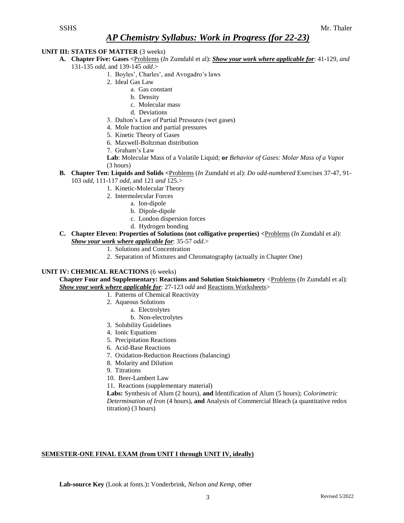## **UNIT III: STATES OF MATTER** (3 weeks)

- **A. Chapter Five: Gases <**Problems (*In* Zumdahl et al): *Show your work where applicable for*: 41-129, *and* 131-135 *odd*, and 139-145 *odd*.>
	- 1. Boyles', Charles', and Avogadro's laws
	- 2. Ideal Gas Law
		- a. Gas constant
		- b. Density
		- c. Molecular mass
		- d. Deviations
	- 3. Dalton's Law of Partial Pressures (wet gases)
	- 4. Mole fraction and partial pressures
	- 5. Kinetic Theory of Gases
	- 6. Maxwell-Boltzman distribution
	- 7. Graham's Law
	- **Lab**: Molecular Mass of a Volatile Liquid; **or** *Behavior of Gases: Molar Mass of a Vapo*r (3 hours)
	- **B. Chapter Ten: Liquids and Solids <**Problems (*In* Zumdahl et al): *Do odd-numbered* Exercises 37-47, 91- 103 *odd*, 111-117 *odd*, and 121 *and* 125.>
		- 1. Kinetic-Molecular Theory
		- 2. Intermolecular Forces
			- a. Ion-dipole
				- b. Dipole-dipole
				- c. London dispersion forces
				- d. Hydrogen bonding
	- **C. Chapter Eleven: Properties of Solutions (not colligative properties) <**Problems (*In* Zumdahl et al): *Show your work where applicable for*: 35-57 *odd*.>
		- 1. Solutions and Concentration
		- 2. Separation of Mixtures and Chromatography (actually in Chapter One)

## **UNIT IV: CHEMICAL REACTIONS** (6 weeks)

**Chapter Four and Supplementary: Reactions and Solution Stoichiometry <<b>Problems** (*In* Zumdahl et al): *Show your work where applicable for*: 27-123 *odd* and Reactions Worksheets>

- 1. Patterns of Chemical Reactivity
- 2. Aqueous Solutions
	- a. Electrolytes
	- b. Non-electrolytes
- 3. Solubility Guidelines
- 4. Ionic Equations
- 5. Precipitation Reactions
- 6. Acid-Base Reactions
- 7. Oxidation-Reduction Reactions (balancing)
- 8. Molarity and Dilution
- 9. Titrations
- 10. Beer-Lambert Law
- 11. Reactions (supplementary material)

**Labs:** Synthesis of Alum (2 hours), **and** Identification of Alum (5 hours); *Colorimetric Determination of Iron* (4 hours), **and** Analysis of Commercial Bleach (a quantitative redox titration) (3 hours)

## **SEMESTER-ONE FINAL EXAM (from UNIT I through UNIT IV, ideally)**

**Lab-source Key** (Look at fonts.)**:** Vonderbrink, *Nelson and Kemp*, other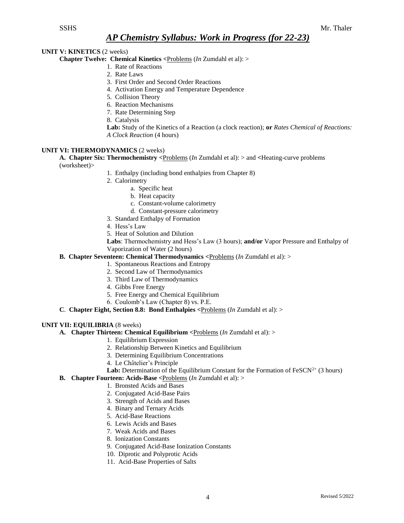## **UNIT V: KINETICS** (2 weeks)

**Chapter Twelve: Chemical Kinetics <**Problems (*In* Zumdahl et al): >

- 1. Rate of Reactions
- 2. Rate Laws
- 3. First Order and Second Order Reactions
- 4. Activation Energy and Temperature Dependence
- 5. Collision Theory
- 6. Reaction Mechanisms
- 7. Rate Determining Step
- 8. Catalysis
- **Lab:** Study of the Kinetics of a Reaction (a clock reaction); **or** *Rates Chemical of Reactions: A Clock Reaction* (4 hours)

### **UNIT VI: THERMODYNAMICS** (2 weeks)

**A. Chapter Six: Thermochemistry <**Problems (*In* Zumdahl et al): > and **<**Heating-curve problems (worksheet)>

- 1. Enthalpy (including bond enthalpies from Chapter 8)
	- 2. Calorimetry
		- a. Specific heat
		- b. Heat capacity
		- c. Constant-volume calorimetry
		- d. Constant-pressure calorimetry
	- 3. Standard Enthalpy of Formation
	- 4. Hess's Law
	- 5. Heat of Solution and Dilution

**Labs**: Thermochemistry and Hess's Law (3 hours); **and/or** Vapor Pressure and Enthalpy of Vaporization of Water (2 hours)

### **B. Chapter Seventeen: Chemical Thermodynamics <**Problems (*In* Zumdahl et al): >

- 1. Spontaneous Reactions and Entropy
- 2. Second Law of Thermodynamics
- 3. Third Law of Thermodynamics
- 4. Gibbs Free Energy
- 5. Free Energy and Chemical Equilibrium
- 6. Coulomb's Law (Chapter 8) vs. P.E.
- **C**. **Chapter Eight, Section 8.8: Bond Enthalpies <**Problems (*In* Zumdahl et al): >

## **UNIT VII: EQUILIBRIA** (8 weeks)

- **A. Chapter Thirteen: Chemical Equilibrium <**Problems (*In* Zumdahl et al): >
	- 1. Equilibrium Expression
	- 2. Relationship Between Kinetics and Equilibrium
	- 3. Determining Equilibrium Concentrations
	- 4. Le Châtelier's Principle
	- **Lab:** Determination of the Equilibrium Constant for the Formation of FeSCN<sup>2+</sup> (3 hours)
- **B. Chapter Fourteen: Acids-Base <**Problems (*In* Zumdahl et al): >
	- 1. Bronsted Acids and Bases
	- 2. Conjugated Acid-Base Pairs
	- 3. Strength of Acids and Bases
	- 4. Binary and Ternary Acids
	- 5. Acid-Base Reactions
	- 6. Lewis Acids and Bases
	- 7. Weak Acids and Bases
	- 8. Ionization Constants
	- 9. Conjugated Acid-Base Ionization Constants
	- 10. Diprotic and Polyprotic Acids
	- 11. Acid-Base Properties of Salts